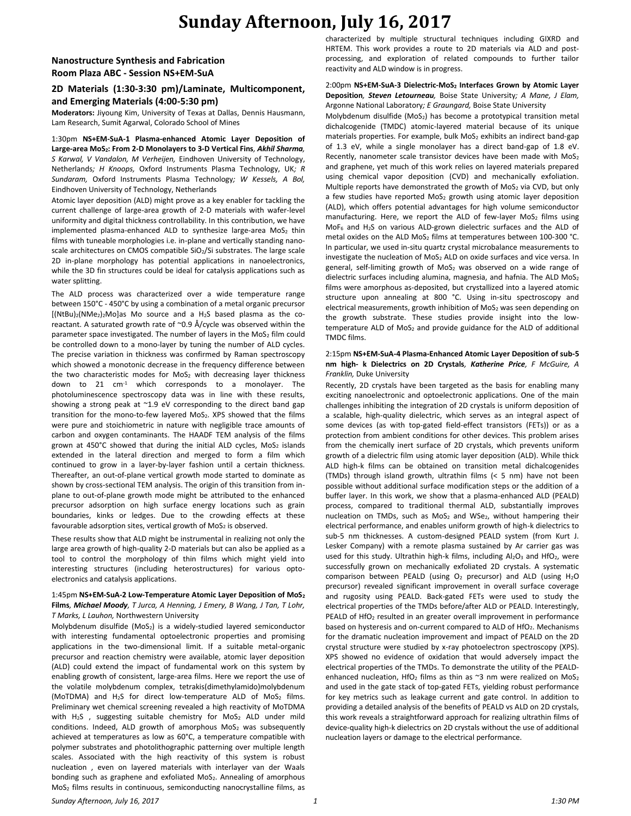## **Nanostructure Synthesis and Fabrication Room Plaza ABC - Session NS+EM-SuA**

## **2D Materials (1:30-3:30 pm)/Laminate, Multicomponent, and Emerging Materials (4:00-5:30 pm)**

**Moderators:** Jiyoung Kim, University of Texas at Dallas, Dennis Hausmann, Lam Research, Sumit Agarwal, Colorado School of Mines

1:30pm **NS+EM-SuA-1 Plasma-enhanced Atomic Layer Deposition of Large-area MoS2: From 2-D Monolayers to 3-D Vertical Fins***, Akhil Sharma, S Karwal, V Vandalon, M Verheijen,* Eindhoven University of Technology, Netherlands*; H Knoops,* Oxford Instruments Plasma Technology, UK*; R Sundaram,* Oxford Instruments Plasma Technology*; W Kessels, A Bol,*  Eindhoven University of Technology, Netherlands

Atomic layer deposition (ALD) might prove as a key enabler for tackling the current challenge of large-area growth of 2-D materials with wafer-level uniformity and digital thickness controllability. In this contribution, we have implemented plasma-enhanced ALD to synthesize large-area  $MoS<sub>2</sub>$  thin films with tuneable morphologies i.e. in-plane and vertically standing nanoscale architectures on CMOS compatible SiO2/Si substrates. The large scale 2D in-plane morphology has potential applications in nanoelectronics, while the 3D fin structures could be ideal for catalysis applications such as water splitting.

The ALD process was characterized over a wide temperature range between 150°C - 450°C by using a combination of a metal organic precursor  $[(NtBu)<sub>2</sub>(NMe<sub>2</sub>)<sub>2</sub>Mo]$ as Mo source and a H<sub>2</sub>S based plasma as the coreactant. A saturated growth rate of ~0.9 Å/cycle was observed within the parameter space investigated. The number of layers in the  $MOS<sub>2</sub>$  film could be controlled down to a mono-layer by tuning the number of ALD cycles. The precise variation in thickness was confirmed by Raman spectroscopy which showed a monotonic decrease in the frequency difference between the two characteristic modes for  $MoS<sub>2</sub>$  with decreasing layer thickness down to 21 cm<sup>-1</sup> which corresponds to a monolayer. The photoluminescence spectroscopy data was in line with these results, showing a strong peak at  $\sim$ 1.9 eV corresponding to the direct band gap transition for the mono-to-few layered MoS2. XPS showed that the films were pure and stoichiometric in nature with negligible trace amounts of carbon and oxygen contaminants. The HAADF TEM analysis of the films grown at 450°C showed that during the initial ALD cycles,  $MoS<sub>2</sub>$  islands extended in the lateral direction and merged to form a film which continued to grow in a layer-by-layer fashion until a certain thickness. Thereafter, an out-of-plane vertical growth mode started to dominate as shown by cross-sectional TEM analysis. The origin of this transition from inplane to out-of-plane growth mode might be attributed to the enhanced precursor adsorption on high surface energy locations such as grain boundaries, kinks or ledges. Due to the crowding effects at these favourable adsorption sites, vertical growth of  $MoS<sub>2</sub>$  is observed.

These results show that ALD might be instrumental in realizing not only the large area growth of high-quality 2-D materials but can also be applied as a tool to control the morphology of thin films which might yield into interesting structures (including heterostructures) for various optoelectronics and catalysis applications.

### 1:45pm **NS+EM-SuA-2 Low-Temperature Atomic Layer Deposition of MoS<sup>2</sup> Films***, Michael Moody, T Jurca, A Henning, J Emery, B Wang, J Tan, T Lohr, T Marks, L Lauhon,* Northwestern University

Molybdenum disulfide ( $MoS<sub>2</sub>$ ) is a widely-studied layered semiconductor with interesting fundamental optoelectronic properties and promising applications in the two-dimensional limit. If a suitable metal-organic precursor and reaction chemistry were available, atomic layer deposition (ALD) could extend the impact of fundamental work on this system by enabling growth of consistent, large-area films. Here we report the use of the volatile molybdenum complex, tetrakis(dimethylamido)molybdenum (MoTDMA) and  $H_2S$  for direct low-temperature ALD of MoS<sub>2</sub> films. Preliminary wet chemical screening revealed a high reactivity of MoTDMA with  $H_2S$ , suggesting suitable chemistry for MoS<sub>2</sub> ALD under mild conditions. Indeed, ALD growth of amorphous  $MoS<sub>2</sub>$  was subsequently achieved at temperatures as low as 60°C, a temperature compatible with polymer substrates and photolithographic patterning over multiple length scales. Associated with the high reactivity of this system is robust nucleation , even on layered materials with interlayer van der Waals bonding such as graphene and exfoliated MoS<sub>2</sub>. Annealing of amorphous MoS<sup>2</sup> films results in continuous, semiconducting nanocrystalline films, as characterized by multiple structural techniques including GIXRD and HRTEM. This work provides a route to 2D materials via ALD and postprocessing, and exploration of related compounds to further tailor reactivity and ALD window is in progress.

### 2:00pm **NS+EM-SuA-3 Dielectric-MoS<sup>2</sup> Interfaces Grown by Atomic Layer Deposition***, Steven Letourneau,* Boise State University*; A Mane, J Elam,*  Argonne National Laboratory*; E Graungard,* Boise State University

Molybdenum disulfide (MoS<sub>2</sub>) has become a prototypical transition metal dichalcogenide (TMDC) atomic-layered material because of its unique materials properties. For example, bulk MoS<sub>2</sub> exhibits an indirect band-gap of 1.3 eV, while a single monolayer has a direct band-gap of 1.8 eV. Recently, nanometer scale transistor devices have been made with MoS<sub>2</sub> and graphene, yet much of this work relies on layered materials prepared using chemical vapor deposition (CVD) and mechanically exfoliation. Multiple reports have demonstrated the growth of  $MoS<sub>2</sub>$  via CVD, but only a few studies have reported MoS<sub>2</sub> growth using atomic layer deposition (ALD), which offers potential advantages for high volume semiconductor manufacturing. Here, we report the ALD of few-layer  $MoS<sub>2</sub>$  films using MoF<sup>6</sup> and H2S on various ALD-grown dielectric surfaces and the ALD of metal oxides on the ALD MoS<sub>2</sub> films at temperatures between 100-300 °C. In particular, we used in-situ quartz crystal microbalance measurements to investigate the nucleation of  $MOS<sub>2</sub>$  ALD on oxide surfaces and vice versa. In general, self-limiting growth of  $MoS<sub>2</sub>$  was observed on a wide range of dielectric surfaces including alumina, magnesia, and hafnia. The ALD MoS<sub>2</sub> films were amorphous as-deposited, but crystallized into a layered atomic structure upon annealing at 800 °C. Using in-situ spectroscopy and electrical measurements, growth inhibition of MoS<sub>2</sub> was seen depending on the growth substrate. These studies provide insight into the lowtemperature ALD of MoS<sub>2</sub> and provide guidance for the ALD of additional TMDC films.

### 2:15pm **NS+EM-SuA-4 Plasma-Enhanced Atomic Layer Deposition of sub-5 nm high- k Dielectrics on 2D Crystals***, Katherine Price, F McGuire, A Franklin,* Duke University

Recently, 2D crystals have been targeted as the basis for enabling many exciting nanoelectronic and optoelectronic applications. One of the main challenges inhibiting the integration of 2D crystals is uniform deposition of a scalable, high-quality dielectric, which serves as an integral aspect of some devices (as with top-gated field-effect transistors (FETs)) or as a protection from ambient conditions for other devices. This problem arises from the chemically inert surface of 2D crystals, which prevents uniform growth of a dielectric film using atomic layer deposition (ALD). While thick ALD high-k films can be obtained on transition metal dichalcogenides (TMDs) through island growth, ultrathin films (< 5 nm) have not been possible without additional surface modification steps or the addition of a buffer layer. In this work, we show that a plasma-enhanced ALD (PEALD) process, compared to traditional thermal ALD, substantially improves nucleation on TMDs, such as  $MoS<sub>2</sub>$  and WSe<sub>2</sub>, without hampering their electrical performance, and enables uniform growth of high-k dielectrics to sub-5 nm thicknesses. A custom-designed PEALD system (from Kurt J. Lesker Company) with a remote plasma sustained by Ar carrier gas was used for this study. Ultrathin high-k films, including  $Al_2O_3$  and HfO<sub>2</sub>, were successfully grown on mechanically exfoliated 2D crystals. A systematic comparison between PEALD (using  $O<sub>2</sub>$  precursor) and ALD (using H<sub>2</sub>O precursor) revealed significant improvement in overall surface coverage and rugosity using PEALD. Back-gated FETs were used to study the electrical properties of the TMDs before/after ALD or PEALD. Interestingly, PEALD of HfO<sub>2</sub> resulted in an greater overall improvement in performance based on hysteresis and on-current compared to ALD of HfO2. Mechanisms for the dramatic nucleation improvement and impact of PEALD on the 2D crystal structure were studied by x-ray photoelectron spectroscopy (XPS). XPS showed no evidence of oxidation that would adversely impact the electrical properties of the TMDs. To demonstrate the utility of the PEALDenhanced nucleation, HfO<sub>2</sub> films as thin as  $\sim$ 3 nm were realized on MoS<sub>2</sub> and used in the gate stack of top-gated FETs, yielding robust performance for key metrics such as leakage current and gate control. In addition to providing a detailed analysis of the benefits of PEALD vs ALD on 2D crystals, this work reveals a straightforward approach for realizing ultrathin films of device-quality high-k dielectrics on 2D crystals without the use of additional nucleation layers or damage to the electrical performance.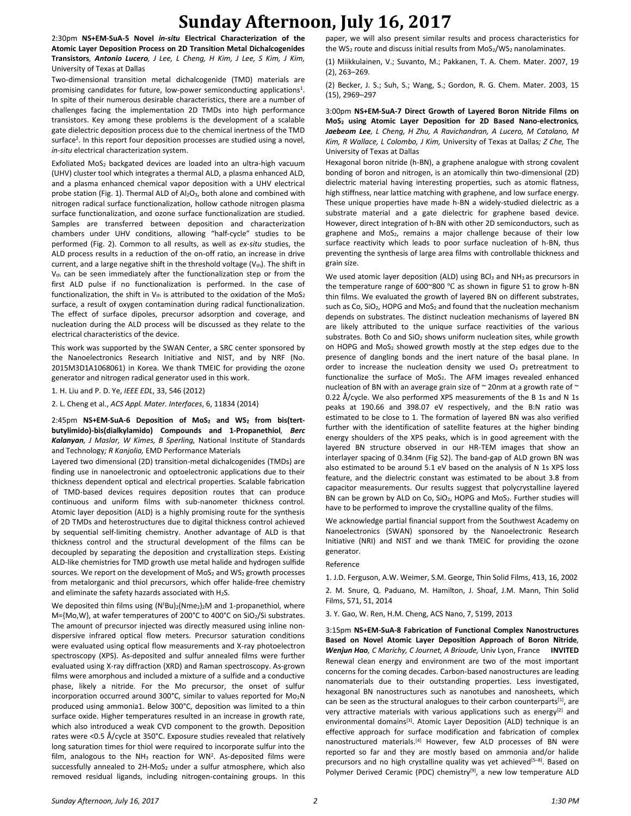2:30pm **NS+EM-SuA-5 Novel** *in-situ* **Electrical Characterization of the Atomic Layer Deposition Process on 2D Transition Metal Dichalcogenides Transistors***, Antonio Lucero, J Lee, L Cheng, H Kim, J Lee, S Kim, J Kim,*  University of Texas at Dallas

Two-dimensional transition metal dichalcogenide (TMD) materials are promising candidates for future, low-power semiconducting applications<sup>1</sup>. In spite of their numerous desirable characteristics, there are a number of challenges facing the implementation 2D TMDs into high performance transistors. Key among these problems is the development of a scalable gate dielectric deposition process due to the chemical inertness of the TMD surface<sup>2</sup>. In this report four deposition processes are studied using a novel, *in-situ* electrical characterization system.

Exfoliated MoS<sub>2</sub> backgated devices are loaded into an ultra-high vacuum (UHV) cluster tool which integrates a thermal ALD, a plasma enhanced ALD, and a plasma enhanced chemical vapor deposition with a UHV electrical probe station (Fig. 1). Thermal ALD of Al<sub>2</sub>O<sub>3</sub>, both alone and combined with nitrogen radical surface functionalization, hollow cathode nitrogen plasma surface functionalization, and ozone surface functionalization are studied. Samples are transferred between deposition and characterization chambers under UHV conditions, allowing "half-cycle" studies to be performed (Fig. 2). Common to all results, as well as *ex-situ* studies, the ALD process results in a reduction of the on-off ratio, an increase in drive current, and a large negative shift in the threshold voltage  $(V_{th})$ . The shift in V<sub>th</sub> can be seen immediately after the functionalization step or from the first ALD pulse if no functionalization is performed. In the case of functionalization, the shift in  $V_{th}$  is attributed to the oxidation of the MoS<sub>2</sub> surface, a result of oxygen contamination during radical functionalization. The effect of surface dipoles, precursor adsorption and coverage, and nucleation during the ALD process will be discussed as they relate to the electrical characteristics of the device.

This work was supported by the SWAN Center, a SRC center sponsored by the Nanoelectronics Research Initiative and NIST, and by NRF (No. 2015M3D1A1068061) in Korea. We thank TMEIC for providing the ozone generator and nitrogen radical generator used in this work.

1. H. Liu and P. D. Ye, *IEEE EDL*, 33, 546 (2012)

2. L. Cheng et al., *ACS Appl. Mater. Interfaces*, 6, 11834 (2014)

2:45pm **NS+EM-SuA-6 Deposition of MoS<sup>2</sup> and WS<sup>2</sup> from bis(tertbutylimido)-bis(dialkylamido) Compounds and 1-Propanethiol***, Berc Kalanyan, J Maslar, W Kimes, B Sperling,* National Institute of Standards and Technology*; R Kanjolia,* EMD Performance Materials

Layered two dimensional (2D) transition-metal dichalcogenides (TMDs) are finding use in nanoelectronic and optoelectronic applications due to their thickness dependent optical and electrical properties. Scalable fabrication of TMD-based devices requires deposition routes that can produce continuous and uniform films with sub-nanometer thickness control. Atomic layer deposition (ALD) is a highly promising route for the synthesis of 2D TMDs and heterostructures due to digital thickness control achieved by sequential self-limiting chemistry. Another advantage of ALD is that thickness control and the structural development of the films can be decoupled by separating the deposition and crystallization steps. Existing ALD-like chemistries for TMD growth use metal halide and hydrogen sulfide sources. We report on the development of  $MOS<sub>2</sub>$  and  $WS<sub>2</sub>$  growth processes from metalorganic and thiol precursors, which offer halide-free chemistry and eliminate the safety hazards associated with H<sub>2</sub>S.

We deposited thin films using  $(N^tBu)_2(Nme_2)_2M$  and 1-propanethiol, where M={Mo,W}, at wafer temperatures of 200°C to 400°C on SiO2/Si substrates. The amount of precursor injected was directly measured using inline nondispersive infrared optical flow meters. Precursor saturation conditions were evaluated using optical flow measurements and X-ray photoelectron spectroscopy (XPS). As-deposited and sulfur annealed films were further evaluated using X-ray diffraction (XRD) and Raman spectroscopy. As-grown films were amorphous and included a mixture of a sulfide and a conductive phase, likely a nitride. For the Mo precursor, the onset of sulfur incorporation occurred around 300°C, similar to values reported for Mo2N produced using ammonia1. Below 300°C, deposition was limited to a thin surface oxide. Higher temperatures resulted in an increase in growth rate, which also introduced a weak CVD component to the growth. Deposition rates were <0.5 Å/cycle at 350°C. Exposure studies revealed that relatively long saturation times for thiol were required to incorporate sulfur into the film, analogous to the  $NH<sub>3</sub>$  reaction for WN<sup>2</sup>. As-deposited films were successfully annealed to  $2H-MoS<sub>2</sub>$  under a sulfur atmosphere, which also removed residual ligands, including nitrogen-containing groups. In this

paper, we will also present similar results and process characteristics for the WS<sub>2</sub> route and discuss initial results from  $MOS<sub>2</sub>/WS<sub>2</sub>$  nanolaminates.

(1) Miikkulainen, V.; Suvanto, M.; Pakkanen, T. A. Chem. Mater. 2007, 19 (2), 263–269.

(2) Becker, J. S.; Suh, S.; Wang, S.; Gordon, R. G. Chem. Mater. 2003, 15 (15), 2969–297

3:00pm **NS+EM-SuA-7 Direct Growth of Layered Boron Nitride Films on MoS<sup>2</sup> using Atomic Layer Deposition for 2D Based Nano-electronics***, Jaebeom Lee, L Cheng, H Zhu, A Ravichandran, A Lucero, M Catalano, M Kim, R Wallace, L Colombo, J Kim,* University of Texas at Dallas*; Z Che,* The University of Texas at Dallas

Hexagonal boron nitride (h-BN), a graphene analogue with strong covalent bonding of boron and nitrogen, is an atomically thin two-dimensional (2D) dielectric material having interesting properties, such as atomic flatness, high stiffness, near lattice matching with graphene, and low surface energy. These unique properties have made h-BN a widely-studied dielectric as a substrate material and a gate dielectric for graphene based device. However, direct integration of h-BN with other 2D semiconductors, such as graphene and  $MoS<sub>2</sub>$ , remains a major challenge because of their low surface reactivity which leads to poor surface nucleation of h-BN, thus preventing the synthesis of large area films with controllable thickness and grain size.

We used atomic layer deposition (ALD) using BCl<sub>3</sub> and NH<sub>3</sub> as precursors in the temperature range of 600~800 ℃ as shown in figure S1 to grow h-BN thin films. We evaluated the growth of layered BN on different substrates, such as Co, SiO<sub>2</sub>, HOPG and MoS<sub>2</sub> and found that the nucleation mechanism depends on substrates. The distinct nucleation mechanisms of layered BN are likely attributed to the unique surface reactivities of the various substrates. Both Co and  $SiO<sub>2</sub>$  shows uniform nucleation sites, while growth on HOPG and MoS<sub>2</sub> showed growth mostly at the step edges due to the presence of dangling bonds and the inert nature of the basal plane. In order to increase the nucleation density we used  $O<sub>3</sub>$  pretreatment to functionalize the surface of MoS<sub>2</sub>. The AFM images revealed enhanced nucleation of BN with an average grain size of  $\sim$  20nm at a growth rate of  $\sim$ 0.22 Å/cycle. We also performed XPS measurements of the B 1s and N 1s peaks at 190.66 and 398.07 eV respectively, and the B:N ratio was estimated to be close to 1. The formation of layered BN was also verified further with the identification of satellite features at the higher binding energy shoulders of the XPS peaks, which is in good agreement with the layered BN structure observed in our HR-TEM images that show an interlayer spacing of 0.34nm (Fig S2). The band-gap of ALD grown BN was also estimated to be around 5.1 eV based on the analysis of N 1s XPS loss feature, and the dielectric constant was estimated to be about 3.8 from capacitor measurements. Our results suggest that polycrystalline layered BN can be grown by ALD on Co, SiO<sub>2</sub>, HOPG and MoS<sub>2</sub>. Further studies will have to be performed to improve the crystalline quality of the films.

We acknowledge partial financial support from the Southwest Academy on Nanoelectronics (SWAN) sponsored by the Nanoelectronic Research Initiative (NRI) and NIST and we thank TMEIC for providing the ozone generator.

#### Reference

1. J.D. Ferguson, A.W. Weimer, S.M. George, Thin Solid Films, 413, 16, 2002

2. M. Snure, Q. Paduano, M. Hamilton, J. Shoaf, J.M. Mann, Thin Solid Films, 571, 51, 2014

3. Y. Gao, W. Ren, H.M. Cheng, ACS Nano, 7, 5199, 2013

3:15pm **NS+EM-SuA-8 Fabrication of Functional Complex Nanostructures Based on Novel Atomic Layer Deposition Approach of Boron Nitride***, Wenjun Hao, C Marichy, C Journet, A Brioude,* Univ Lyon, France **INVITED** Renewal clean energy and environment are two of the most important concerns for the coming decades. Carbon-based nanostructures are leading nanomaterials due to their outstanding properties. Less investigated, hexagonal BN nanostructures such as nanotubes and nanosheets, which can be seen as the structural analogues to their carbon counterparts<sup>[1]</sup>, are very attractive materials with various applications such as energy<sup>[2]</sup> and environmental domains<sup>[3]</sup>. Atomic Layer Deposition (ALD) technique is an effective approach for surface modification and fabrication of complex nanostructured materials.<sup>[4]</sup> However, few ALD processes of BN were reported so far and they are mostly based on ammonia and/or halide precursors and no high crystalline quality was yet achieved<sup>[5-8]</sup>. Based on Polymer Derived Ceramic (PDC) chemistry<sup>[9]</sup>, a new low temperature ALD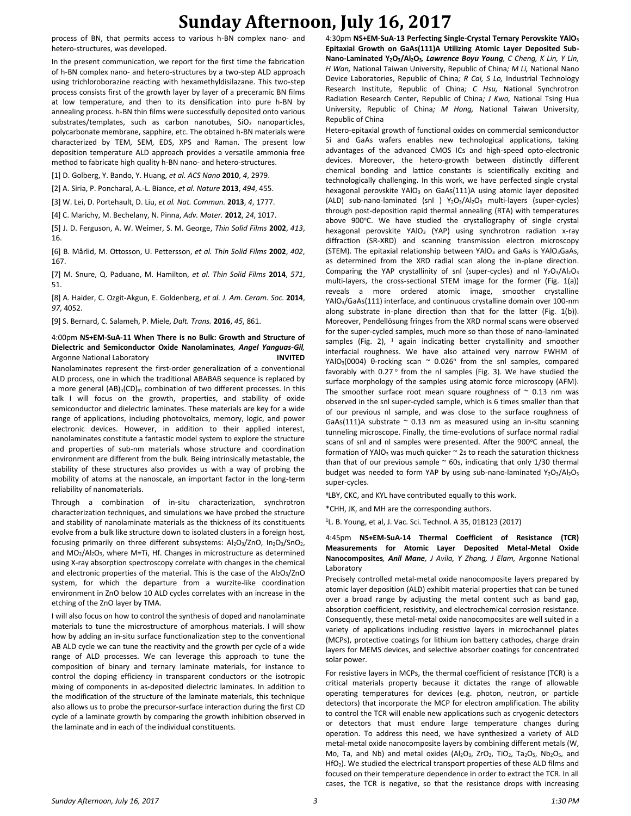process of BN, that permits access to various h-BN complex nano- and hetero-structures, was developed.

In the present communication, we report for the first time the fabrication of h-BN complex nano- and hetero-structures by a two-step ALD approach using trichloroborazine reacting with hexamethyldisilazane. This two-step process consists first of the growth layer by layer of a preceramic BN films at low temperature, and then to its densification into pure h-BN by annealing process. h-BN thin films were successfully deposited onto various substrates/templates, such as carbon nanotubes,  $SiO<sub>2</sub>$  nanoparticles, polycarbonate membrane, sapphire, etc. The obtained h-BN materials were characterized by TEM, SEM, EDS, XPS and Raman. The present low deposition temperature ALD approach provides a versatile ammonia free method to fabricate high quality h-BN nano- and hetero-structures.

[1] D. Golberg, Y. Bando, Y. Huang, *et al. ACS Nano* **2010**, *4*, 2979.

[2] A. Siria, P. Poncharal, A.-L. Biance, *et al. Nature* **2013**, *494*, 455.

[3] W. Lei, D. Portehault, D. Liu, *et al. Nat. Commun.* **2013**, *4*, 1777.

[4] C. Marichy, M. Bechelany, N. Pinna, *Adv. Mater.* **2012**, *24*, 1017.

[5] J. D. Ferguson, A. W. Weimer, S. M. George, *Thin Solid Films* **2002**, *413*, 16.

[6] B. Mårlid, M. Ottosson, U. Pettersson, *et al. Thin Solid Films* **2002**, *402*, 167.

[7] M. Snure, Q. Paduano, M. Hamilton, *et al. Thin Solid Films* **2014**, *571*, 51.

[8] A. Haider, C. Ozgit-Akgun, E. Goldenberg, *et al. J. Am. Ceram. Soc.* **2014**, *97*, 4052.

[9] S. Bernard, C. Salameh, P. Miele, *Dalt. Trans.* **2016**, *45*, 861.

### 4:00pm **NS+EM-SuA-11 When There is no Bulk: Growth and Structure of Dielectric and Semiconductor Oxide Nanolaminates***, Angel Yanguas-Gil,*  Argonne National Laboratory **INVITED**

Nanolaminates represent the first-order generalization of a conventional ALD process, one in which the traditional ABABAB sequence is replaced by a more general (AB)<sub>n</sub>(CD)<sub>m</sub> combination of two different processes. In this talk I will focus on the growth, properties, and stability of oxide semiconductor and dielectric laminates. These materials are key for a wide range of applications, including photovoltaics, memory, logic, and power electronic devices. However, in addition to their applied interest, nanolaminates constitute a fantastic model system to explore the structure and properties of sub-nm materials whose structure and coordination environment are different from the bulk. Being intrinsically metastable, the stability of these structures also provides us with a way of probing the mobility of atoms at the nanoscale, an important factor in the long-term reliability of nanomaterials.

Through a combination of in-situ characterization, synchrotron characterization techniques, and simulations we have probed the structure and stability of nanolaminate materials as the thickness of its constituents evolve from a bulk like structure down to isolated clusters in a foreign host, focusing primarily on three different subsystems: Al<sub>2</sub>O<sub>3</sub>/ZnO, In<sub>2</sub>O<sub>3</sub>/SnO<sub>2</sub>, and  $MO<sub>2</sub>/Al<sub>2</sub>O<sub>3</sub>$ , where M=Ti, Hf. Changes in microstructure as determined using X-ray absorption spectroscopy correlate with changes in the chemical and electronic properties of the material. This is the case of the Al2O3/ZnO system, for which the departure from a wurzite-like coordination environment in ZnO below 10 ALD cycles correlates with an increase in the etching of the ZnO layer by TMA.

I will also focus on how to control the synthesis of doped and nanolaminate materials to tune the microstructure of amorphous materials. I will show how by adding an in-situ surface functionalization step to the conventional AB ALD cycle we can tune the reactivity and the growth per cycle of a wide range of ALD processes. We can leverage this approach to tune the composition of binary and ternary laminate materials, for instance to control the doping efficiency in transparent conductors or the isotropic mixing of components in as-deposited dielectric laminates. In addition to the modification of the structure of the laminate materials, this technique also allows us to probe the precursor-surface interaction during the first CD cycle of a laminate growth by comparing the growth inhibition observed in the laminate and in each of the individual constituents.

4:30pm **NS+EM-SuA-13 Perfecting Single-Crystal Ternary Perovskite YAlO<sup>3</sup> Epitaxial Growth on GaAs(111)A Utilizing Atomic Layer Deposited Sub-Nano-Laminated Y2O3/Al2O3***, Lawrence Boyu Young, C Cheng, K Lin, Y Lin, H Wan,* National Taiwan University, Republic of China*; M Li,* National Nano Device Laboratories, Republic of China*; R Cai, S Lo,* Industrial Technology Research Institute, Republic of China*; C Hsu,* National Synchrotron Radiation Research Center, Republic of China*; J Kwo,* National Tsing Hua University, Republic of China*; M Hong,* National Taiwan University, Republic of China

Hetero-epitaxial growth of functional oxides on commercial semiconductor Si and GaAs wafers enables new technological applications, taking advantages of the advanced CMOS ICs and high-speed opto-electronic devices. Moreover, the hetero-growth between distinctly different chemical bonding and lattice constants is scientifically exciting and technologically challenging. In this work, we have perfected single crystal hexagonal perovskite YAlO<sub>3</sub> on GaAs(111)A using atomic layer deposited (ALD) sub-nano-laminated (snl ) Y2O3/Al2O<sup>3</sup> multi-layers (super-cycles) through post-deposition rapid thermal annealing (RTA) with temperatures above 900°C. We have studied the crystallography of single crystal hexagonal perovskite YAIO<sub>3</sub> (YAP) using synchrotron radiation x-ray diffraction (SR-XRD) and scanning transmission electron microscopy (STEM). The epitaxial relationship between  $YAIO<sub>3</sub>$  and GaAs is  $YAIO<sub>3</sub>GaAs$ , as determined from the XRD radial scan along the in-plane direction. Comparing the YAP crystallinity of snl (super-cycles) and nl  $Y_2O_3/Al_2O_3$ multi-layers, the cross-sectional STEM image for the former (Fig. 1(a)) reveals a more ordered atomic image, smoother crystalline YAlO3/GaAs(111) interface, and continuous crystalline domain over 100-nm along substrate in-plane direction than that for the latter (Fig. 1(b)). Moreover, Pendellӧsung fringes from the XRD normal scans were observed for the super-cycled samples, much more so than those of nano-laminated samples (Fig. 2),  $1$  again indicating better crystallinity and smoother interfacial roughness. We have also attained very narrow FWHM of YAlO<sub>3</sub>(0004) θ-rocking scan ~ 0.026° from the snl samples, compared favorably with 0.27° from the nl samples (Fig. 3). We have studied the surface morphology of the samples using atomic force microscopy (AFM). The smoother surface root mean square roughness of  $\sim$  0.13 nm was observed in the snl super-cycled sample, which is 6 times smaller than that of our previous nl sample, and was close to the surface roughness of GaAs(111)A substrate  $\sim$  0.13 nm as measured using an in-situ scanning tunneling microscope. Finally, the time-evolutions of surface normal radial scans of snl and nl samples were presented. After the 900°C anneal, the formation of YAIO<sub>3</sub> was much quicker  $\sim$  2s to reach the saturation thickness than that of our previous sample  $\sim$  60s, indicating that only 1/30 thermal budget was needed to form YAP by using sub-nano-laminated  $Y_2O_3/Al_2O_3$ super-cycles.

#LBY, CKC, and KYL have contributed equally to this work.

\*CHH, JK, and MH are the corresponding authors.

<sup>1</sup>L. B. Young, et al, J. Vac. Sci. Technol. A 35, 01B123 (2017)

### 4:45pm **NS+EM-SuA-14 Thermal Coefficient of Resistance (TCR) Measurements for Atomic Layer Deposited Metal-Metal Oxide Nanocomposites***, Anil Mane, J Avila, Y Zhang, J Elam,* Argonne National Laboratory

Precisely controlled metal-metal oxide nanocomposite layers prepared by atomic layer deposition (ALD) exhibit material properties that can be tuned over a broad range by adjusting the metal content such as band gap, absorption coefficient, resistivity, and electrochemical corrosion resistance. Consequently, these metal-metal oxide nanocomposites are well suited in a variety of applications including resistive layers in microchannel plates (MCPs), protective coatings for lithium ion battery cathodes, charge drain layers for MEMS devices, and selective absorber coatings for concentrated solar power.

For resistive layers in MCPs, the thermal coefficient of resistance (TCR) is a critical materials property because it dictates the range of allowable operating temperatures for devices (e.g. photon, neutron, or particle detectors) that incorporate the MCP for electron amplification. The ability to control the TCR will enable new applications such as cryogenic detectors or detectors that must endure large temperature changes during operation. To address this need, we have synthesized a variety of ALD metal-metal oxide nanocomposite layers by combining different metals (W, Mo, Ta, and Nb) and metal oxides  $(A<sub>1</sub>O<sub>3</sub>, ZrO<sub>2</sub>, TiO<sub>2</sub>, Ta<sub>2</sub>O<sub>5</sub>, Nb<sub>2</sub>O<sub>5</sub>$ , and HfO<sub>2</sub>). We studied the electrical transport properties of these ALD films and focused on their temperature dependence in order to extract the TCR. In all cases, the TCR is negative, so that the resistance drops with increasing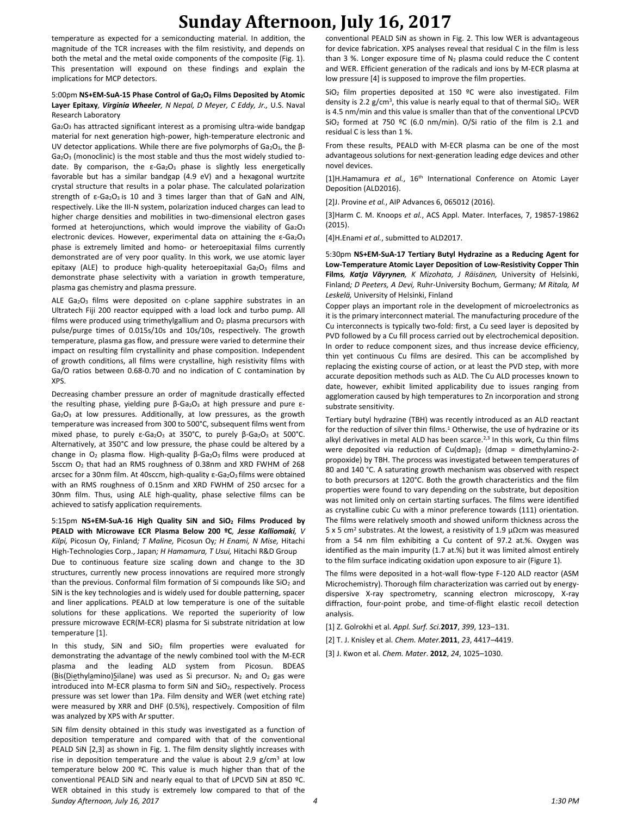temperature as expected for a semiconducting material. In addition, the magnitude of the TCR increases with the film resistivity, and depends on both the metal and the metal oxide components of the composite (Fig. 1). This presentation will expound on these findings and explain the implications for MCP detectors.

### 5:00pm **NS+EM-SuA-15 Phase Control of Ga2O<sup>3</sup> Films Deposited by Atomic Layer Epitaxy***, Virginia Wheeler, N Nepal, D Meyer, C Eddy, Jr.,* U.S. Naval Research Laboratory

Ga2O<sup>3</sup> has attracted significant interest as a promising ultra-wide bandgap material for next generation high-power, high-temperature electronic and UV detector applications. While there are five polymorphs of Ga2O3, the β-Ga2O<sup>3</sup> (monoclinic) is the most stable and thus the most widely studied todate. By comparison, the  $\varepsilon$ -Ga<sub>2</sub>O<sub>3</sub> phase is slightly less energetically favorable but has a similar bandgap (4.9 eV) and a hexagonal wurtzite crystal structure that results in a polar phase. The calculated polarization strength of  $\varepsilon$ -Ga<sub>2</sub>O<sub>3</sub> is 10 and 3 times larger than that of GaN and AlN. respectively. Like the III-N system, polarization induced charges can lead to higher charge densities and mobilities in two-dimensional electron gases formed at heterojunctions, which would improve the viability of  $Ga_2O_3$ electronic devices. However, experimental data on attaining the ε-Ga<sub>2</sub>O<sub>3</sub> phase is extremely limited and homo- or heteroepitaxial films currently demonstrated are of very poor quality. In this work, we use atomic layer epitaxy (ALE) to produce high-quality heteroepitaxial  $Ga_2O_3$  films and demonstrate phase selectivity with a variation in growth temperature, plasma gas chemistry and plasma pressure.

ALE Ga<sub>2</sub>O<sub>3</sub> films were deposited on c-plane sapphire substrates in an Ultratech Fiji 200 reactor equipped with a load lock and turbo pump. All films were produced using trimethylgallium and  $O<sub>2</sub>$  plasma precursors with pulse/purge times of 0.015s/10s and 10s/10s, respectively. The growth temperature, plasma gas flow, and pressure were varied to determine their impact on resulting film crystallinity and phase composition. Independent of growth conditions, all films were crystalline, high resistivity films with Ga/O ratios between 0.68-0.70 and no indication of C contamination by XPS.

Decreasing chamber pressure an order of magnitude drastically effected the resulting phase, yielding pure β-Ga<sub>2</sub>O<sub>3</sub> at high pressure and pure ε-Ga<sub>2</sub>O<sub>3</sub> at low pressures. Additionally, at low pressures, as the growth temperature was increased from 300 to 500°C, subsequent films went from mixed phase, to purely ε-Ga<sub>2</sub>O<sub>3</sub> at 350°C, to purely β-Ga<sub>2</sub>O<sub>3</sub> at 500°C. Alternatively, at 350°C and low pressure, the phase could be altered by a change in  $O_2$  plasma flow. High-quality  $β$ -Ga<sub>2</sub>O<sub>3</sub> films were produced at 5sccm O<sup>2</sup> that had an RMS roughness of 0.38nm and XRD FWHM of 268 arcsec for a 30nm film. At 40sccm, high-quality  $ε$ -Ga<sub>2</sub>O<sub>3</sub> films were obtained with an RMS roughness of 0.15nm and XRD FWHM of 250 arcsec for a 30nm film. Thus, using ALE high-quality, phase selective films can be achieved to satisfy application requirements.

5:15pm **NS+EM-SuA-16 High Quality SiN and SiO<sup>2</sup> Films Produced by PEALD with Microwave ECR Plasma Below 200 ºC***, Jesse Kalliomaki, V Kilpi,* Picosun Oy, Finland*; T Maline,* Picosun Oy*; H Enami, N Mise,* Hitachi High-Technologies Corp., Japan*; H Hamamura, T Usui,* Hitachi R&D Group

Due to continuous feature size scaling down and change to the 3D structures, currently new process innovations are required more strongly than the previous. Conformal film formation of Si compounds like  $SiO<sub>2</sub>$  and SiN is the key technologies and is widely used for double patterning, spacer and liner applications. PEALD at low temperature is one of the suitable solutions for these applications. We reported the superiority of low pressure microwave ECR(M-ECR) plasma for Si substrate nitridation at low temperature [1].

In this study, SiN and  $SiO<sub>2</sub>$  film properties were evaluated for demonstrating the advantage of the newly combined tool with the M-ECR plasma and the leading ALD system from Picosun. BDEAS  $(\underline{Bis}(\underline{Diethylamino})\underline{S}$ ilane) was used as Si precursor. N<sub>2</sub> and O<sub>2</sub> gas were introduced into M-ECR plasma to form SiN and SiO<sub>2</sub>, respectively. Process pressure was set lower than 1Pa. Film density and WER (wet etching rate) were measured by XRR and DHF (0.5%), respectively. Composition of film was analyzed by XPS with Ar sputter.

*Sunday Afternoon, July 16, 2017 4 1:30 PM* SiN film density obtained in this study was investigated as a function of deposition temperature and compared with that of the conventional PEALD SiN [2,3] as shown in Fig. 1. The film density slightly increases with rise in deposition temperature and the value is about 2.9  $g/cm<sup>3</sup>$  at low temperature below 200 ºC. This value is much higher than that of the conventional PEALD SiN and nearly equal to that of LPCVD SiN at 850 ºC. WER obtained in this study is extremely low compared to that of the

conventional PEALD SiN as shown in Fig. 2. This low WER is advantageous for device fabrication. XPS analyses reveal that residual C in the film is less than 3 %. Longer exposure time of  $N_2$  plasma could reduce the C content and WER. Efficient generation of the radicals and ions by M-ECR plasma at low pressure [4] is supposed to improve the film properties.

 $SiO<sub>2</sub>$  film properties deposited at 150 °C were also investigated. Film density is 2.2  $g/cm^3$ , this value is nearly equal to that of thermal SiO<sub>2</sub>. WER is 4.5 nm/min and this value is smaller than that of the conventional LPCVD SiO<sub>2</sub> formed at 750 °C (6.0 nm/min). O/Si ratio of the film is 2.1 and residual C is less than 1 %.

From these results, PEALD with M-ECR plasma can be one of the most advantageous solutions for next-generation leading edge devices and other novel devices.

[1]H.Hamamura et al., 16<sup>th</sup> International Conference on Atomic Layer Deposition (ALD2016).

[2]J. Provine *et al.*, AIP Advances 6, 065012 (2016).

[3]Harm C. M. Knoops *et al.*, ACS Appl. Mater. Interfaces, 7, 19857-19862 (2015).

[4]H.Enami *et al.*, submitted to ALD2017.

5:30pm **NS+EM-SuA-17 Tertiary Butyl Hydrazine as a Reducing Agent for Low-Temperature Atomic Layer Deposition of Low-Resistivity Copper Thin Films***, Katja Väyrynen, K Mizohata, J Räisänen,* University of Helsinki, Finland*; D Peeters, A Devi,* Ruhr-University Bochum, Germany*; M Ritala, M Leskelä,* University of Helsinki, Finland

Copper plays an important role in the development of microelectronics as it is the primary interconnect material. The manufacturing procedure of the Cu interconnects is typically two-fold: first, a Cu seed layer is deposited by PVD followed by a Cu fill process carried out by electrochemical deposition. In order to reduce component sizes, and thus increase device efficiency, thin yet continuous Cu films are desired. This can be accomplished by replacing the existing course of action, or at least the PVD step, with more accurate deposition methods such as ALD. The Cu ALD processes known to date, however, exhibit limited applicability due to issues ranging from agglomeration caused by high temperatures to Zn incorporation and strong substrate sensitivity.

Tertiary butyl hydrazine (TBH) was recently introduced as an ALD reactant for the reduction of silver thin films.<sup>1</sup> Otherwise, the use of hydrazine or its alkyl derivatives in metal ALD has been scarce. $2,3$  In this work, Cu thin films were deposited via reduction of  $Cu(dmap)_2$  (dmap = dimethylamino-2propoxide) by TBH. The process was investigated between temperatures of 80 and 140 °C. A saturating growth mechanism was observed with respect to both precursors at 120°C. Both the growth characteristics and the film properties were found to vary depending on the substrate, but deposition was not limited only on certain starting surfaces. The films were identified as crystalline cubic Cu with a minor preference towards (111) orientation. The films were relatively smooth and showed uniform thickness across the 5 x 5 cm<sup>2</sup> substrates. At the lowest, a resistivity of 1.9 μΩcm was measured from a 54 nm film exhibiting a Cu content of 97.2 at.%. Oxygen was identified as the main impurity (1.7 at.%) but it was limited almost entirely to the film surface indicating oxidation upon exposure to air (Figure 1).

The films were deposited in a hot-wall flow-type F-120 ALD reactor (ASM Microchemistry). Thorough film characterization was carried out by energydispersive X-ray spectrometry, scanning electron microscopy, X-ray diffraction, four-point probe, and time-of-flight elastic recoil detection analysis.

[1] Z. Golrokhi et al. *Appl. Surf. Sci.***2017**, *399*, 123–131.

[2] T. J. Knisley et al. *Chem. Mater.***2011**, *23*, 4417–4419.

[3] J. Kwon et al. *Chem. Mater*. **2012**, *24*, 1025–1030.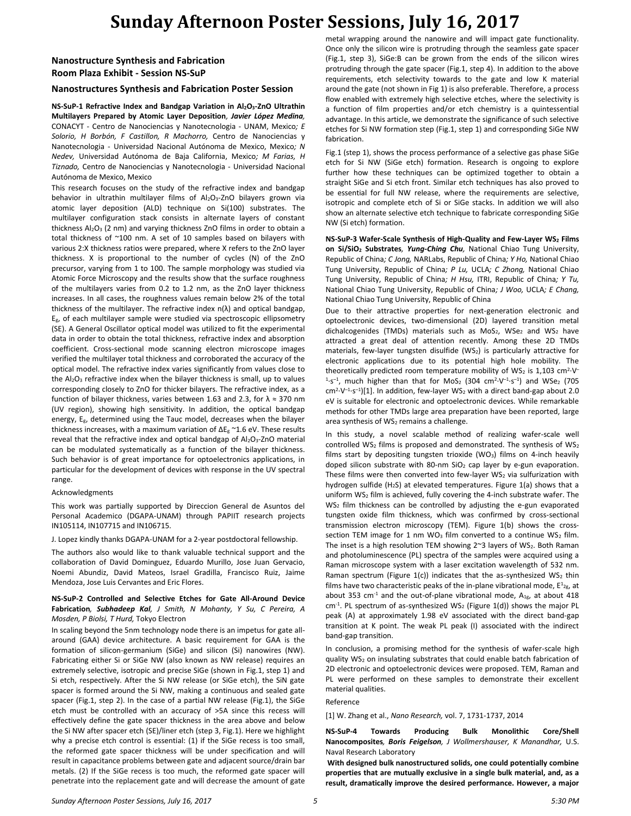# **Sunday Afternoon Poster Sessions, July 16, 2017**

## **Nanostructure Synthesis and Fabrication Room Plaza Exhibit - Session NS-SuP**

### **Nanostructures Synthesis and Fabrication Poster Session**

**NS-SuP-1 Refractive Index and Bandgap Variation in Al2O3-ZnO Ultrathin Multilayers Prepared by Atomic Layer Deposition***, Javier López Medina,*  CONACYT - Centro de Nanociencias y Nanotecnologia - UNAM, Mexico*; E Solorio, H Borbón, F Castillon, R Machorro,* Centro de Nanociencias y Nanotecnologia - Universidad Nacional Autónoma de Mexico, Mexico*; N Nedev,* Universidad Autónoma de Baja California, Mexico*; M Farias, H Tiznado,* Centro de Nanociencias y Nanotecnologia - Universidad Nacional Autónoma de Mexico, Mexico

This research focuses on the study of the refractive index and bandgap behavior in ultrathin multilayer films of Al<sub>2</sub>O<sub>3</sub>-ZnO bilayers grown via atomic layer deposition (ALD) technique on Si(100) substrates. The multilayer configuration stack consists in alternate layers of constant thickness  $Al_2O_3$  (2 nm) and varying thickness ZnO films in order to obtain a total thickness of ~100 nm. A set of 10 samples based on bilayers with various 2:X thickness ratios were prepared, where X refers to the ZnO layer thickness. X is proportional to the number of cycles (N) of the ZnO precursor, varying from 1 to 100. The sample morphology was studied via Atomic Force Microscopy and the results show that the surface roughness of the multilayers varies from 0.2 to 1.2 nm, as the ZnO layer thickness increases. In all cases, the roughness values remain below 2% of the total thickness of the multilayer. The refractive index  $n(\lambda)$  and optical bandgap, Eg, of each multilayer sample were studied via spectroscopic ellipsometry (SE). A General Oscillator optical model was utilized to fit the experimental data in order to obtain the total thickness, refractive index and absorption coefficient. Cross-sectional mode scanning electron microscope images verified the multilayer total thickness and corroborated the accuracy of the optical model. The refractive index varies significantly from values close to the  $Al_2O_3$  refractive index when the bilayer thickness is small, up to values corresponding closely to ZnO for thicker bilayers. The refractive index, as a function of bilayer thickness, varies between 1.63 and 2.3, for  $\lambda \approx 370$  nm (UV region), showing high sensitivity. In addition, the optical bandgap energy, Eg, determined using the Tauc model, decreases when the bilayer thickness increases, with a maximum variation of  $\Delta E_g \sim 1.6$  eV. These results reveal that the refractive index and optical bandgap of Al2O3-ZnO material can be modulated systematically as a function of the bilayer thickness. Such behavior is of great importance for optoelectronics applications, in particular for the development of devices with response in the UV spectral range.

#### Acknowledgments

This work was partially supported by Direccion General de Asuntos del Personal Academico (DGAPA-UNAM) through PAPIIT research projects IN105114, IN107715 and IN106715.

## J. Lopez kindly thanks DGAPA-UNAM for a 2-year postdoctoral fellowship.

The authors also would like to thank valuable technical support and the collaboration of David Dominguez, Eduardo Murillo, Jose Juan Gervacio, Noemi Abundiz, David Mateos, Israel Gradilla, Francisco Ruiz, Jaime Mendoza, Jose Luis Cervantes and Eric Flores.

### **NS-SuP-2 Controlled and Selective Etches for Gate All-Around Device Fabrication***, Subhadeep Kal, J Smith, N Mohanty, Y Su, C Pereira, A Mosden, P Biolsi, T Hurd,* Tokyo Electron

In scaling beyond the 5nm technology node there is an impetus for gate allaround (GAA) device architecture. A basic requirement for GAA is the formation of silicon-germanium (SiGe) and silicon (Si) nanowires (NW). Fabricating either Si or SiGe NW (also known as NW release) requires an extremely selective, isotropic and precise SiGe (shown in Fig.1, step 1) and Si etch, respectively. After the Si NW release (or SiGe etch), the SiN gate spacer is formed around the Si NW, making a continuous and sealed gate spacer (Fig.1, step 2). In the case of a partial NW release (Fig.1), the SiGe etch must be controlled with an accuracy of >5A since this recess will effectively define the gate spacer thickness in the area above and below the Si NW after spacer etch (SE)/liner etch (step 3, Fig.1). Here we highlight why a precise etch control is essential: (1) if the SiGe recess is too small, the reformed gate spacer thickness will be under specification and will result in capacitance problems between gate and adjacent source/drain bar metals. (2) If the SiGe recess is too much, the reformed gate spacer will penetrate into the replacement gate and will decrease the amount of gate metal wrapping around the nanowire and will impact gate functionality. Once only the silicon wire is protruding through the seamless gate spacer (Fig.1, step 3), SiGe:B can be grown from the ends of the silicon wires protruding through the gate spacer (Fig.1, step 4). In addition to the above requirements, etch selectivity towards to the gate and low K material around the gate (not shown in Fig 1) is also preferable. Therefore, a process flow enabled with extremely high selective etches, where the selectivity is a function of film properties and/or etch chemistry is a quintessential advantage. In this article, we demonstrate the significance of such selective etches for Si NW formation step (Fig.1, step 1) and corresponding SiGe NW fabrication.

Fig.1 (step 1), shows the process performance of a selective gas phase SiGe etch for Si NW (SiGe etch) formation. Research is ongoing to explore further how these techniques can be optimized together to obtain a straight SiGe and Si etch front. Similar etch techniques has also proved to be essential for full NW release, where the requirements are selective, isotropic and complete etch of Si or SiGe stacks. In addition we will also show an alternate selective etch technique to fabricate corresponding SiGe NW (Si etch) formation.

**NS-SuP-3 Wafer-Scale Synthesis of High-Quality and Few-Layer WS<sup>2</sup> Films on Si/SiO<sup>2</sup> Substrates***, Yung-Ching Chu,* National Chiao Tung University, Republic of China*; C Jong,* NARLabs, Republic of China*; Y Ho,* National Chiao Tung University, Republic of China*; P Lu,* UCLA*; C Zhong,* National Chiao Tung University, Republic of China*; H Hsu,* ITRI, Republic of China*; Y Tu,*  National Chiao Tung University, Republic of China*; J Woo,* UCLA*; E Chang,*  National Chiao Tung University, Republic of China

Due to their attractive properties for next-generation electronic and optoelectronic devices, two-dimensional (2D) layered transition metal dichalcogenides (TMDs) materials such as MoS<sub>2</sub>, WSe<sub>2</sub> and WS<sub>2</sub> have attracted a great deal of attention recently. Among these 2D TMDs materials, few-layer tungsten disulfide (WS2) is particularly attractive for electronic applications due to its potential high hole mobility. The theoretically predicted room temperature mobility of WS<sub>2</sub> is 1,103 cm<sup>2</sup>·V<sup>-</sup> <sup>1</sup>·s<sup>-1</sup>, much higher than that for MoS<sub>2</sub> (304 cm<sup>2</sup>·V<sup>-1</sup>·s<sup>-1</sup>) and WSe<sub>2</sub> (705  $\text{cm}^{2} \cdot \text{V}^{-1} \cdot \text{s}^{-1}$ [1]. In addition, few-layer WS<sub>2</sub> with a direct band-gap about 2.0 eV is suitable for electronic and optoelectronic devices. While remarkable methods for other TMDs large area preparation have been reported, large area synthesis of  $WS_2$  remains a challenge.

In this study, a novel scalable method of realizing wafer-scale well controlled WS<sub>2</sub> films is proposed and demonstrated. The synthesis of WS<sub>2</sub> films start by depositing tungsten trioxide (WO<sub>3</sub>) films on 4-inch heavily doped silicon substrate with 80-nm  $SiO<sub>2</sub>$  cap layer by e-gun evaporation. These films were then converted into few-layer WS2 via sulfurization with hydrogen sulfide (H<sub>2</sub>S) at elevated temperatures. Figure  $1(a)$  shows that a uniform WS<sub>2</sub> film is achieved, fully covering the 4-inch substrate wafer. The WS<sup>2</sup> film thickness can be controlled by adjusting the e-gun evaporated tungsten oxide film thickness, which was confirmed by cross-sectional transmission electron microscopy (TEM). Figure 1(b) shows the crosssection TEM image for 1 nm WO<sub>3</sub> film converted to a continue WS<sub>2</sub> film. The inset is a high resolution TEM showing  $2^{\sim}3$  layers of WS<sub>2</sub>. Both Raman and photoluminescence (PL) spectra of the samples were acquired using a Raman microscope system with a laser excitation wavelength of 532 nm. Raman spectrum (Figure 1(c)) indicates that the as-synthesized  $WS_2$  thin films have two characteristic peaks of the in-plane vibrational mode,  $E^1{}_{2g}$ , at about 353 cm<sup>-1</sup> and the out-of-plane vibrational mode,  $A_{1g}$ , at about 418  $cm<sup>-1</sup>$ . PL spectrum of as-synthesized WS<sub>2</sub> (Figure 1(d)) shows the major PL peak (A) at approximately 1.98 eV associated with the direct band-gap transition at K point. The weak PL peak (I) associated with the indirect band-gap transition.

In conclusion, a promising method for the synthesis of wafer-scale high quality WS<sub>2</sub> on insulating substrates that could enable batch fabrication of 2D electronic and optoelectronic devices were proposed. TEM, Raman and PL were performed on these samples to demonstrate their excellent material qualities.

#### Reference

[1] W. Zhang et al., *Nano Research,* vol. 7, 1731-1737, 2014

**NS-SuP-4 Towards Producing Bulk Monolithic Core/Shell Nanocomposites***, Boris Feigelson, J Wollmershauser, K Manandhar,* U.S. Naval Research Laboratory

**With designed bulk nanostructured solids, one could potentially combine properties that are mutually exclusive in a single bulk material, and, as a result, dramatically improve the desired performance. However, a major**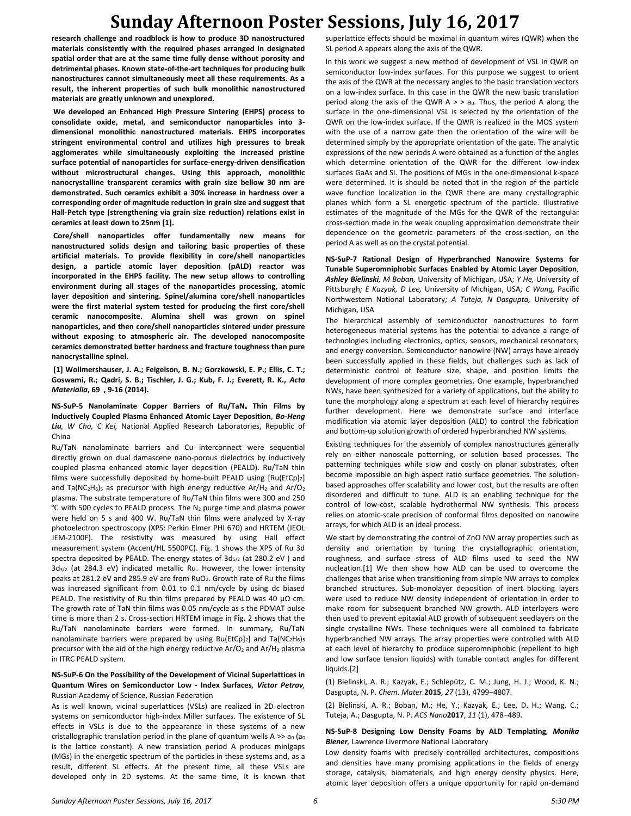## **Sunday Afternoon Poster Sessions, July 16, 2017**

**research challenge and roadblock is how to produce 3D nanostructured materials consistently with the required phases arranged in designated spatial order that are at the same time fully dense without porosity and detrimental phases. Known state-of-the-art techniques for producing bulk nanostructures cannot simultaneously meet all these requirements. As a result, the inherent properties of such bulk monolithic nanostructured materials are greatly unknown and unexplored.** 

**We developed an Enhanced High Pressure Sintering (EHPS) process to consolidate oxide, metal, and semiconductor nanoparticles into 3 dimensional monolithic nanostructured materials. EHPS incorporates stringent environmental control and utilizes high pressures to break agglomerates while simultaneously exploiting the increased pristine surface potential of nanoparticles for surface-energy-driven densification without microstructural changes. Using this approach, monolithic nanocrystalline transparent ceramics with grain size bellow 30 nm are demonstrated. Such ceramics exhibit a 30% increase in hardness over a corresponding order of magnitude reduction in grain size and suggest that Hall-Petch type (strengthening via grain size reduction) relations exist in ceramics at least down to 25nm [1].** 

**Core/shell nanoparticles offer fundamentally new means for nanostructured solids design and tailoring basic properties of these artificial materials. To provide flexibility in core/shell nanoparticles design, a particle atomic layer deposition (pALD) reactor was incorporated in the EHPS facility. The new setup allows to controlling environment during all stages of the nanoparticles processing, atomic layer deposition and sintering. Spinel/alumina core/shell nanoparticles were the first material system tested for producing the first core/shell ceramic nanocomposite. Alumina shell was grown on spinel nanoparticles, and then core/shell nanoparticles sintered under pressure without exposing to atmospheric air. The developed nanocomposite ceramics demonstrated better hardness and fracture toughness than pure nanocrystalline spinel.** 

**[1] Wollmershauser, J. A.; Feigelson, B. N.; Gorzkowski, E. P.; Ellis, C. T.; Goswami, R.; Qadri, S. B.; Tischler, J. G.; Kub, F. J.; Everett, R. K.,** *Acta Materialia***, 69 , 9-16 (2014).** 

**NS-SuP-5 Nanolaminate Copper Barriers of Ru/TaN<sup>x</sup> Thin Films by Inductively Coupled Plasma Enhanced Atomic Layer Deposition***, Bo-Heng Liu, W Cho, C Kei,* National Applied Research Laboratories, Republic of China

Ru/TaN nanolaminate barriers and Cu interconnect were sequential directly grown on dual damascene nano-porous dielectrics by inductively coupled plasma enhanced atomic layer deposition (PEALD). Ru/TaN thin films were successfully deposited by home-built PEALD using [Ru(EtCp]<sub>2</sub>] and Ta(NC<sub>2</sub>H<sub>6</sub>)<sub>5</sub> as precursor with high energy reductive Ar/H<sub>2</sub> and Ar/O<sub>2</sub> plasma. The substrate temperature of Ru/TaN thin films were 300 and 250 ℃ with 500 cycles to PEALD process. The N<sup>2</sup> purge time and plasma power were held on 5 s and 400 W. Ru/TaN thin films were analyzed by X-ray photoelectron spectroscopy (XPS: Perkin Elmer PHI 670) and HRTEM (JEOL JEM-2100F). The resistivity was measured by using Hall effect measurement system (Accent/HL 5500PC). Fig. 1 shows the XPS of Ru 3d spectra deposited by PEALD. The energy states of 3d<sub>5/2</sub> (at 280.2 eV) and 3d3/2 (at 284.3 eV) indicated metallic Ru. However, the lower intensity peaks at 281.2 eV and 285.9 eV are from RuO2. Growth rate of Ru the films was increased significant from 0.01 to 0.1 nm/cycle by using dc biased PEALD. The resistivity of Ru thin films prepared by PEALD was 40  $\mu\Omega$  cm. The growth rate of TaN thin films was 0.05 nm/cycle as s the PDMAT pulse time is more than 2 s. Cross-section HRTEM image in Fig. 2 shows that the Ru/TaN nanolaminate barriers were formed. In summary, Ru/TaN nanolaminate barriers were prepared by using  $Ru(EtCp)_2]$  and  $Ta(NC_2H_6)$ <sub>5</sub> precursor with the aid of the high energy reductive  $Ar/O<sub>2</sub>$  and  $Ar/H<sub>2</sub>$  plasma in ITRC PEALD system.

## **NS-SuP-6 On the Possibility of the Development of Vicinal Superlattices in Quantum Wires on Semiconductor Low - Index Surfaces***, Victor Petrov,*  Russian Academy of Science, Russian Federation

As is well known, vicinal superlattices (VSLs) are realized in 2D electron systems on semiconductor high-index Miller surfaces. The existence of SL effects in VSLs is due to the appearance in these systems of a new cristallographic translation period in the plane of quantum wells  $A \gg a_0$  (a<sub>0</sub> is the lattice constant). A new translation period A produces minigaps (MGs) in the energetic spectrum of the particles in these systems and, as a result, different SL effects. At the present time, all these VSLs are developed only in 2D systems. At the same time, it is known that superlattice effects should be maximal in quantum wires (QWR) when the SL period A appears along the axis of the QWR.

In this work we suggest a new method of development of VSL in QWR on semiconductor low-index surfaces. For this purpose we suggest to orient the axis of the QWR at the necessary angles to the basic translation vectors on a low-index surface. In this case in the QWR the new basic translation period along the axis of the QWR  $A > a_0$ . Thus, the period A along the surface in the one-dimensional VSL is selected by the orientation of the QWR on the low-index surface. If the QWR is realized in the MOS system with the use of a narrow gate then the orientation of the wire will be determined simply by the appropriate orientation of the gate. The analytic expressions of the new periods A were obtained as a function of the angles which determine orientation of the QWR for the different low-index surfaces GaAs and Si. The positions of MGs in the one-dimensional k-space were determined. It is should be noted that in the region of the particle wave function localization in the QWR there are many crystallographic planes which form a SL energetic spectrum of the particle. Illustrative estimates of the magnitude of the MGs for the QWR of the rectangular cross-section made in the weak coupling approximation demonstrate their dependence on the geometric parameters of the cross-section, on the period A as well as on the crystal potential.

**NS-SuP-7 Rational Design of Hyperbranched Nanowire Systems for Tunable Superomniphobic Surfaces Enabled by Atomic Layer Deposition***, Ashley Bielinski, M Boban,* University of Michigan, USA*; Y He,* University of Pittsburgh*; E Kazyak, D Lee,* University of Michigan, USA*; C Wang,* Pacific Northwestern National Laboratory*; A Tuteja, N Dasgupta,* University of Michigan, USA

The hierarchical assembly of semiconductor nanostructures to form heterogeneous material systems has the potential to advance a range of technologies including electronics, optics, sensors, mechanical resonators, and energy conversion. Semiconductor nanowire (NW) arrays have already been successfully applied in these fields, but challenges such as lack of deterministic control of feature size, shape, and position limits the development of more complex geometries. One example, hyperbranched NWs, have been synthesized for a variety of applications, but the ability to tune the morphology along a spectrum at each level of hierarchy requires further development. Here we demonstrate surface and interface modification via atomic layer deposition (ALD) to control the fabrication and bottom-up solution growth of ordered hyperbranched NW systems.

Existing techniques for the assembly of complex nanostructures generally rely on either nanoscale patterning, or solution based processes. The patterning techniques while slow and costly on planar substrates, often become impossible on high aspect ratio surface geometries. The solutionbased approaches offer scalability and lower cost, but the results are often disordered and difficult to tune. ALD is an enabling technique for the control of low-cost, scalable hydrothermal NW synthesis. This process relies on atomic-scale precision of conformal films deposited on nanowire arrays, for which ALD is an ideal process.

We start by demonstrating the control of ZnO NW array properties such as density and orientation by tuning the crystallographic orientation, roughness, and surface stress of ALD films used to seed the NW nucleation.[1] We then show how ALD can be used to overcome the challenges that arise when transitioning from simple NW arrays to complex branched structures. Sub-monolayer deposition of inert blocking layers were used to reduce NW density independent of orientation in order to make room for subsequent branched NW growth. ALD interlayers were then used to prevent epitaxial ALD growth of subsequent seedlayers on the single crystalline NWs. These techniques were all combined to fabricate hyperbranched NW arrays. The array properties were controlled with ALD at each level of hierarchy to produce superomniphobic (repellent to high and low surface tension liquids) with tunable contact angles for different liquids.[2]

(1) Bielinski, A. R.; Kazyak, E.; Schlepütz, C. M.; Jung, H. J.; Wood, K. N.; Dasgupta, N. P. *Chem. Mater.***2015**, *27* (13), 4799–4807.

(2) Bielinski, A. R.; Boban, M.; He, Y.; Kazyak, E.; Lee, D. H.; Wang, C.; Tuteja, A.; Dasgupta, N. P. *ACS Nano***2017**, *11* (1), 478–489.

## **NS-SuP-8 Designing Low Density Foams by ALD Templating***, Monika Biener,* Lawrence Livermore National Laboratory

Low density foams with precisely controlled architectures, compositions and densities have many promising applications in the fields of energy storage, catalysis, biomaterials, and high energy density physics. Here, atomic layer deposition offers a unique opportunity for rapid on-demand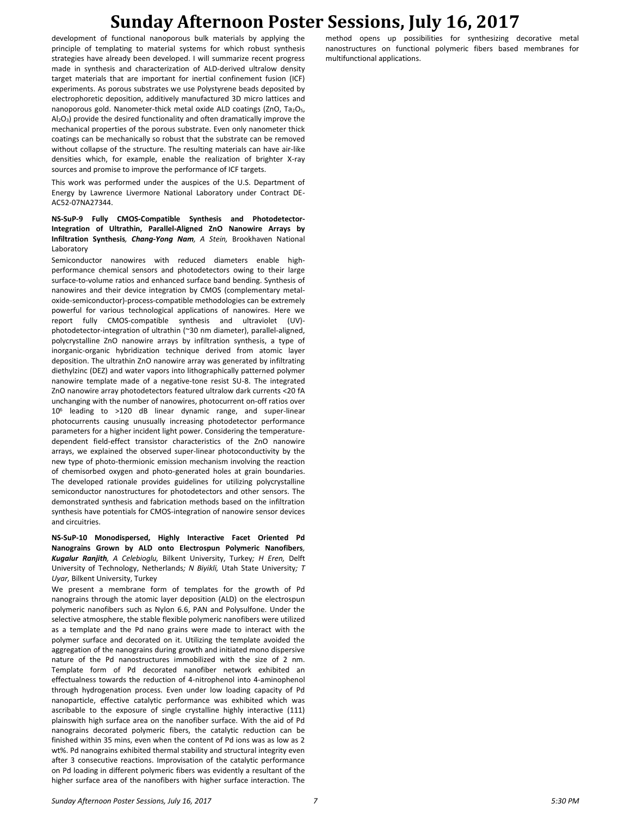## **Sunday Afternoon Poster Sessions, July 16, 2017**

development of functional nanoporous bulk materials by applying the principle of templating to material systems for which robust synthesis strategies have already been developed. I will summarize recent progress made in synthesis and characterization of ALD-derived ultralow density target materials that are important for inertial confinement fusion (ICF) experiments. As porous substrates we use Polystyrene beads deposited by electrophoretic deposition, additively manufactured 3D micro lattices and nanoporous gold. Nanometer-thick metal oxide ALD coatings ( $ZnO$ , Ta<sub>2</sub>O<sub>5</sub>,  $Al<sub>2</sub>O<sub>3</sub>$ ) provide the desired functionality and often dramatically improve the mechanical properties of the porous substrate. Even only nanometer thick coatings can be mechanically so robust that the substrate can be removed without collapse of the structure. The resulting materials can have air-like densities which, for example, enable the realization of brighter X-ray sources and promise to improve the performance of ICF targets.

This work was performed under the auspices of the U.S. Department of Energy by Lawrence Livermore National Laboratory under Contract DE-AC52-07NA27344.

**NS-SuP-9 Fully CMOS-Compatible Synthesis and Photodetector-Integration of Ultrathin, Parallel-Aligned ZnO Nanowire Arrays by Infiltration Synthesis***, Chang-Yong Nam, A Stein,* Brookhaven National Laboratory

Semiconductor nanowires with reduced diameters enable highperformance chemical sensors and photodetectors owing to their large surface-to-volume ratios and enhanced surface band bending. Synthesis of nanowires and their device integration by CMOS (complementary metaloxide-semiconductor)-process-compatible methodologies can be extremely powerful for various technological applications of nanowires. Here we report fully CMOS-compatible synthesis and ultraviolet (UV) photodetector-integration of ultrathin (~30 nm diameter), parallel-aligned, polycrystalline ZnO nanowire arrays by infiltration synthesis, a type of inorganic-organic hybridization technique derived from atomic layer deposition. The ultrathin ZnO nanowire array was generated by infiltrating diethylzinc (DEZ) and water vapors into lithographically patterned polymer nanowire template made of a negative-tone resist SU-8. The integrated ZnO nanowire array photodetectors featured ultralow dark currents <20 fA unchanging with the number of nanowires, photocurrent on-off ratios over 10<sup>6</sup> leading to >120 dB linear dynamic range, and super-linear photocurrents causing unusually increasing photodetector performance parameters for a higher incident light power. Considering the temperaturedependent field-effect transistor characteristics of the ZnO nanowire arrays, we explained the observed super-linear photoconductivity by the new type of photo-thermionic emission mechanism involving the reaction of chemisorbed oxygen and photo-generated holes at grain boundaries. The developed rationale provides guidelines for utilizing polycrystalline semiconductor nanostructures for photodetectors and other sensors. The demonstrated synthesis and fabrication methods based on the infiltration synthesis have potentials for CMOS-integration of nanowire sensor devices and circuitries.

**NS-SuP-10 Monodispersed, Highly Interactive Facet Oriented Pd Nanograins Grown by ALD onto Electrospun Polymeric Nanofibers***, Kugalur Ranjith, A Celebioglu,* Bilkent University, Turkey*; H Eren,* Delft University of Technology, Netherlands*; N Biyikli,* Utah State University*; T Uyar,* Bilkent University, Turkey

We present a membrane form of templates for the growth of Pd nanograins through the atomic layer deposition (ALD) on the electrospun polymeric nanofibers such as Nylon 6.6, PAN and Polysulfone. Under the selective atmosphere, the stable flexible polymeric nanofibers were utilized as a template and the Pd nano grains were made to interact with the polymer surface and decorated on it. Utilizing the template avoided the aggregation of the nanograins during growth and initiated mono dispersive nature of the Pd nanostructures immobilized with the size of 2 nm. Template form of Pd decorated nanofiber network exhibited an effectualness towards the reduction of 4-nitrophenol into 4-aminophenol through hydrogenation process. Even under low loading capacity of Pd nanoparticle, effective catalytic performance was exhibited which was ascribable to the exposure of single crystalline highly interactive (111) plainswith high surface area on the nanofiber surface. With the aid of Pd nanograins decorated polymeric fibers, the catalytic reduction can be finished within 35 mins, even when the content of Pd ions was as low as 2 wt%. Pd nanograins exhibited thermal stability and structural integrity even after 3 consecutive reactions. Improvisation of the catalytic performance on Pd loading in different polymeric fibers was evidently a resultant of the higher surface area of the nanofibers with higher surface interaction. The

method opens up possibilities for synthesizing decorative metal nanostructures on functional polymeric fibers based membranes for multifunctional applications.